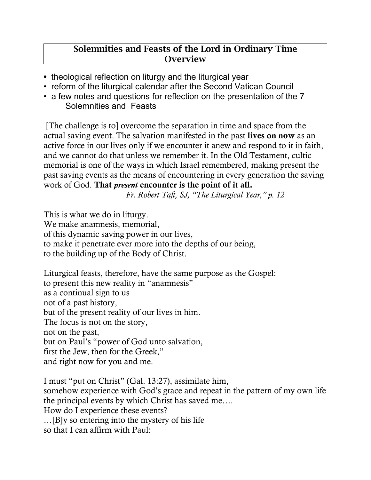## Solemnities and Feasts of the Lord in Ordinary Time **Overview**

- theological reflection on liturgy and the liturgical year
- reform of the liturgical calendar after the Second Vatican Council
- a few notes and questions for reflection on the presentation of the 7 Solemnities and Feasts

[The challenge is to] overcome the separation in time and space from the actual saving event. The salvation manifested in the past lives on now as an active force in our lives only if we encounter it anew and respond to it in faith, and we cannot do that unless we remember it. In the Old Testament, cultic memorial is one of the ways in which Israel remembered, making present the past saving events as the means of encountering in every generation the saving work of God. That *present* encounter is the point of it all.

*Fr. Robert Taft, SJ, "The Liturgical Year," p. 12*

This is what we do in liturgy. We make anamnesis, memorial, of this dynamic saving power in our lives, to make it penetrate ever more into the depths of our being, to the building up of the Body of Christ.

Liturgical feasts, therefore, have the same purpose as the Gospel: to present this new reality in "anamnesis" as a continual sign to us not of a past history, but of the present reality of our lives in him. The focus is not on the story, not on the past, but on Paul's "power of God unto salvation, first the Jew, then for the Greek," and right now for you and me.

I must "put on Christ" (Gal. 13:27), assimilate him, somehow experience with God's grace and repeat in the pattern of my own life the principal events by which Christ has saved me…. How do I experience these events? …[B]y so entering into the mystery of his life so that I can affirm with Paul: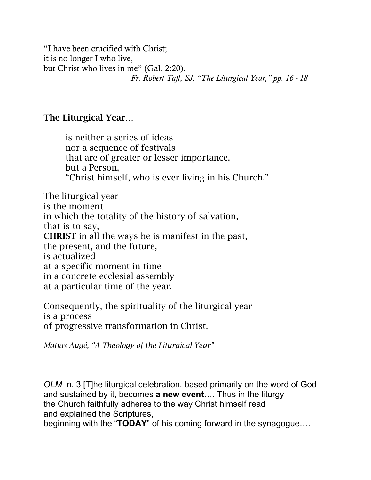"I have been crucified with Christ; it is no longer I who live, but Christ who lives in me" (Gal. 2:20). *Fr. Robert Taft, SJ, "The Liturgical Year," pp. 16 - 18*

## The Liturgical Year…

is neither a series of ideas nor a sequence of festivals that are of greater or lesser importance, but a Person, "Christ himself, who is ever living in his Church."

The liturgical year is the moment in which the totality of the history of salvation, that is to say, CHRIST in all the ways he is manifest in the past, the present, and the future, is actualized at a specific moment in time in a concrete ecclesial assembly at a particular time of the year.

Consequently, the spirituality of the liturgical year is a process of progressive transformation in Christ.

*Matias Augé, "A Theology of the Liturgical Year"*

*OLM* n. 3 [T]he liturgical celebration, based primarily on the word of God and sustained by it, becomes **a new event**…. Thus in the liturgy the Church faithfully adheres to the way Christ himself read and explained the Scriptures,

beginning with the "**TODAY**" of his coming forward in the synagogue….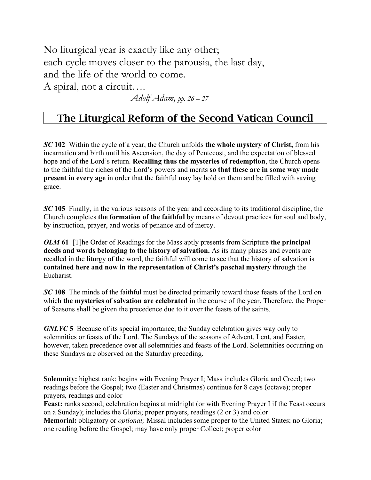No liturgical year is exactly like any other; each cycle moves closer to the parousia, the last day, and the life of the world to come.

A spiral, not a circuit….

*Adolf Adam, pp. 26 – 27*

## The Liturgical Reform of the Second Vatican Council

*SC* **102** Within the cycle of a year, the Church unfolds **the whole mystery of Christ,** from his incarnation and birth until his Ascension, the day of Pentecost, and the expectation of blessed hope and of the Lord's return. **Recalling thus the mysteries of redemption**, the Church opens to the faithful the riches of the Lord's powers and merits **so that these are in some way made present in every age** in order that the faithful may lay hold on them and be filled with saving grace.

*SC* **105** Finally, in the various seasons of the year and according to its traditional discipline, the Church completes **the formation of the faithful** by means of devout practices for soul and body, by instruction, prayer, and works of penance and of mercy.

*OLM* **61** [T]he Order of Readings for the Mass aptly presents from Scripture **the principal deeds and words belonging to the history of salvation.** As its many phases and events are recalled in the liturgy of the word, the faithful will come to see that the history of salvation is **contained here and now in the representation of Christ's paschal mystery** through the Eucharist.

**SC 108** The minds of the faithful must be directed primarily toward those feasts of the Lord on which **the mysteries of salvation are celebrated** in the course of the year. Therefore, the Proper of Seasons shall be given the precedence due to it over the feasts of the saints.

*GNLYC* **5** Because of its special importance, the Sunday celebration gives way only to solemnities or feasts of the Lord. The Sundays of the seasons of Advent, Lent, and Easter, however, taken precedence over all solemnities and feasts of the Lord. Solemnities occurring on these Sundays are observed on the Saturday preceding.

**Solemnity:** highest rank; begins with Evening Prayer I; Mass includes Gloria and Creed; two readings before the Gospel; two (Easter and Christmas) continue for 8 days (octave); proper prayers, readings and color

**Feast:** ranks second; celebration begins at midnight (or with Evening Prayer I if the Feast occurs on a Sunday); includes the Gloria; proper prayers, readings (2 or 3) and color **Memorial:** obligatory or *optional;* Missal includes some proper to the United States; no Gloria;

one reading before the Gospel; may have only proper Collect; proper color